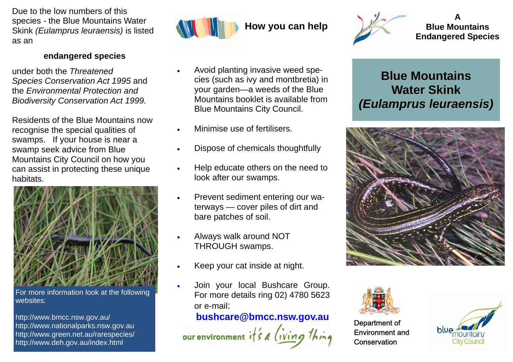Due to the low numbers of this species *-* the Blue Mountains Water Skink *(Eulamprus leuraensis)* is listed as an

## **endangered species**

under both the *Threatened Species Conservation Act 1995* and the *Environmental Protection and Biodiversity Conservation Act 1999.* 

Residents of the Blue Mountains now recognise the special qualities of swamps. If your house is near a swamp seek advice from Blue Mountains City Council on how you can assist in protecting these unique habitats.



For more information look at the following websites:

http://www.bmcc.nsw.gov.au/ http://www.nationalparks.nsw.gov.au http://www.green.net.au/rarespecies/ http://www.deh.gov.au/index.html



- Avoid planting invasive weed species (such as ivy and montbretia) in your garden—a weeds of the Blue Mountains booklet is available from Blue Mountains City Council.
- Minimise use of fertilisers.
- Dispose of chemicals thoughtfully
- Help educate others on the need to look after our swamps.
- Prevent sediment entering our waterways — cover piles of dirt and bare patches of soil.
- Always walk around NOT THROUGH swamps.
- Keep your cat inside at night.
- Join your local Bushcare Group. For more details ring 02) 4780 5623 or e-mail:

## **bushcare@bmcc.nsw.gov.au**

our environment  $i \nmid s$  a *(iving* 



**A Blue Mountains Endangered Species** 

## **Blue Mountains Water Skink**  *(Eulamprus leuraensis)*





Department of Environment and **Conservation**